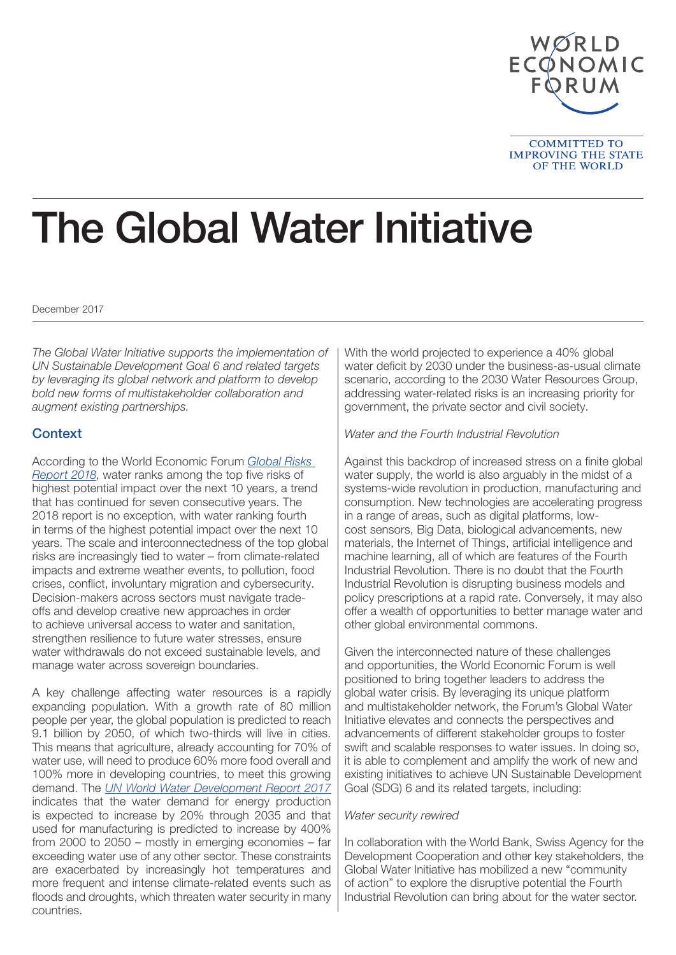

**COMMITTED TO IMPROVING THE STATE OF THE WORLD** 

# The Global Water Initiative

December 2017

The Global Water Initiative supports the implementation of UN Sustainable Development Goal 6 and related targets by leveraging its global network and platform to develop bold new forms of multistakeholder collaboration and augment existing partnerships.

## **Context**

According to the World Economic Forum [Global Risks](http://www3.weforum.org/docs/WEF_GRR18_Report.pdf)  [Report 2018](http://www3.weforum.org/docs/WEF_GRR18_Report.pdf), water ranks among the top five risks of highest potential impact over the next 10 years, a trend that has continued for seven consecutive years. The 2018 report is no exception, with water ranking fourth in terms of the highest potential impact over the next 10 years. The scale and interconnectedness of the top global risks are increasingly tied to water – from climate-related impacts and extreme weather events, to pollution, food crises, conflict, involuntary migration and cybersecurity. Decision-makers across sectors must navigate tradeoffs and develop creative new approaches in order to achieve universal access to water and sanitation, strengthen resilience to future water stresses, ensure water withdrawals do not exceed sustainable levels, and manage water across sovereign boundaries.

A key challenge affecting water resources is a rapidly expanding population. With a growth rate of 80 million people per year, the global population is predicted to reach 9.1 billion by 2050, of which two-thirds will live in cities. This means that agriculture, already accounting for 70% of water use, will need to produce 60% more food overall and 100% more in developing countries, to meet this growing demand. The [UN World Water Development Report 2017](http://unesdoc.unesco.org/images/0024/002471/247153e.pdf) indicates that the water demand for energy production is expected to increase by 20% through 2035 and that used for manufacturing is predicted to increase by 400% from 2000 to 2050 – mostly in emerging economies – far exceeding water use of any other sector. These constraints are exacerbated by increasingly hot temperatures and more frequent and intense climate-related events such as floods and droughts, which threaten water security in many countries.

With the world projected to experience a 40% global water deficit by 2030 under the business-as-usual climate scenario, according to the 2030 Water Resources Group, addressing water-related risks is an increasing priority for government, the private sector and civil society.

#### Water and the Fourth Industrial Revolution

Against this backdrop of increased stress on a finite global water supply, the world is also arguably in the midst of a systems-wide revolution in production, manufacturing and consumption. New technologies are accelerating progress in a range of areas, such as digital platforms, lowcost sensors, Big Data, biological advancements, new materials, the Internet of Things, artificial intelligence and machine learning, all of which are features of the Fourth Industrial Revolution. There is no doubt that the Fourth Industrial Revolution is disrupting business models and policy prescriptions at a rapid rate. Conversely, it may also offer a wealth of opportunities to better manage water and other global environmental commons.

Given the interconnected nature of these challenges and opportunities, the World Economic Forum is well positioned to bring together leaders to address the global water crisis. By leveraging its unique platform and multistakeholder network, the Forum's Global Water Initiative elevates and connects the perspectives and advancements of different stakeholder groups to foster swift and scalable responses to water issues. In doing so, it is able to complement and amplify the work of new and existing initiatives to achieve UN Sustainable Development Goal (SDG) 6 and its related targets, including:

#### Water security rewired

In collaboration with the World Bank, Swiss Agency for the Development Cooperation and other key stakeholders, the Global Water Initiative has mobilized a new "community of action" to explore the disruptive potential the Fourth Industrial Revolution can bring about for the water sector.